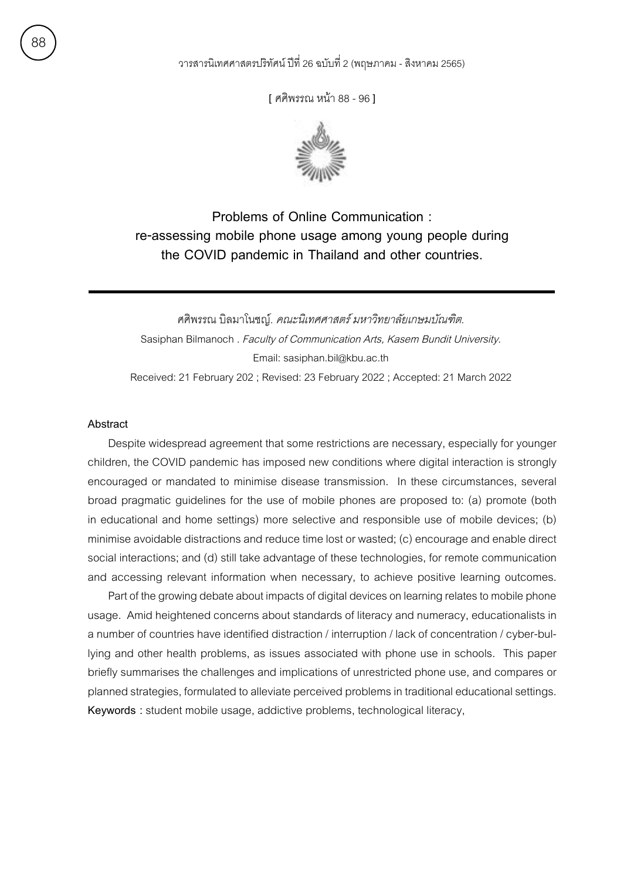**[** ศศิพรรณ หน้า 88 - 96 **]**



**Problems of Online Communication : re-assessing mobile phone usage among young people during the COVID pandemic in Thailand and other countries.**

ศศิพรรณ บิลมาโนชญ์. คณะนิเทศศาสตร์ มหาวิทยาลัยเกษมบัณฑิต. Sasiphan Bilmanoch . Faculty of Communication Arts, Kasem Bundit University. Email: sasiphan.bil@kbu.ac.th Received: 21 February 202 ; Revised: 23 February 2022 ; Accepted: 21 March 2022

# **Abstract**

Despite widespread agreement that some restrictions are necessary, especially for younger children, the COVID pandemic has imposed new conditions where digital interaction is strongly encouraged or mandated to minimise disease transmission. In these circumstances, several broad pragmatic guidelines for the use of mobile phones are proposed to: (a) promote (both in educational and home settings) more selective and responsible use of mobile devices; (b) minimise avoidable distractions and reduce time lost or wasted; (c) encourage and enable direct social interactions; and (d) still take advantage of these technologies, for remote communication and accessing relevant information when necessary, to achieve positive learning outcomes.

Part of the growing debate about impacts of digital devices on learning relates to mobile phone usage. Amid heightened concerns about standards of literacy and numeracy, educationalists in a number of countries have identified distraction / interruption / lack of concentration / cyber-bullying and other health problems, as issues associated with phone use in schools. This paper briefly summarises the challenges and implications of unrestricted phone use, and compares or planned strategies, formulated to alleviate perceived problems in traditional educational settings. **Keywords :** student mobile usage, addictive problems, technological literacy,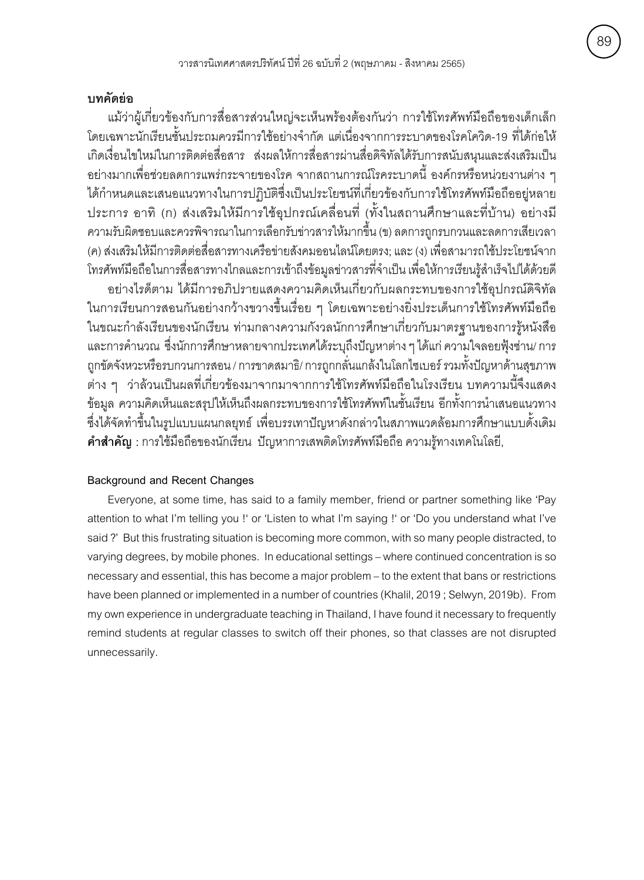# **บทคัดย่อ**

แม้ว่าผ้เกี่ยวข้องกับการสื่อสารส่วนใหญ่จะเห็นพร้องต้องกันว่า การใช้โทรศัพท์มือถือของเด็กเล็ก โดยเฉพาะนักเรียนชั้นประถมควรมีการใช้อย่างจำกัด แต่เนื่องจากการระบาดของโรคโควิด-19 ที่ได้ก่อให้ เกิดเงื่อนไขใหม่ในการติดต่อสื่อสาร ส่งผลให้การสื่อสารผ่านสื่อดิจิทัลได้รับการสนับสนุนและส่งเสริมเป็น ้อย่างมากเพื่อช่วยลดการแพร่กระจายของโรค จากสถานการณ์โรคระบาดนี้ องค์กรหรือหน่วยงานต่าง ๆ ได้กำหนดและเสนอแนวทางในการปฏิบัติซึ่งเป็นประโยชน์ที่เกี่ยวข้องกับการใช้โทรศัพท์มือถืออยู่หลาย ประการ อาทิ (ก) ส่งเสริมให้มีการใช้อุปกรณ์เคลื่อนที่ (ทั้งในสถานศึกษาและที่บ้าน) อย่างมี ความรับผิดชอบและควรพิจารณาในการเลือกรับข่าวสารให้มากขึ้น (ข) ลดการถกรบกวนและลดการเสียเวลา (ค) ส่งเสริมให้มีการติดต่อสื่อสารทางเครือข่ายสังคมออนไลน์โดยตรง; และ (ง) เพื่อสามารถใช้ประโยชน์จาก โทรศัพท์มือถือในการสื่อสารทางไกลและการเข้าถึงข้อมูลข่าวสารที่จำเป็น เพื่อให้การเรียนรู้สำเร็จไปได้ด้วยดี ้อย่างไรด็ตาม ได้มีการอภิปรายแสดงความคิดเห็นเกี่ยวกับผลกระทบของการใช้อุปกรณ์ดิจิทัล

ในการเรียนการสอนกันอย่างกว้างขวางขึ้นเรื่อย ๆ โดยเฉพาะอย่างยิ่งประเด็นการใช้โทรศัพท์มือถือ ในขณะกำลังเรียนของนักเรียน ท่ามกลางความกังวลนักการศึกษาเกี่ยวกับมาตรฐานของการรู้หนังสือ และการคำนวณ ซึ่งนักการศึกษาหลายจากประเทศได้ระบุถึงปัญหาต่าง ๆ ได้แก่ ความใจลอยฟุ้งซ่าน/ การ ถูกขัดจังหวะหรือรบกวนการสอน / การขาดสมาธิ/ การถูกกลั่นแกล้งในโลกไซเบอร์ รวมทั้งปัญหาด้านสุขภาพ ต่าง ๆ ว่าล้วนเป็นผลที่เกี่ยวข้องมาจากมาจากการใช้โทรศัพท์มือถือในโรงเรียน บทความนี้จึงแสดง ข้อมูล ความคิดเห็นและสรุปให้เห็นถึงผลกระทบของการใช้โทรศัพท์ในชั้นเรียน อีกทั้งการนำเสนอแนวทาง ซึ่งได้จัดทำขึ้นในรูปแบบแผนกลยุทธ์ เพื่อบรรเทาปัญหาดังกล่าวในสภาพแวดล้อมการศึกษาแบบดั้งเดิม **คาสำ าคำ ัญ :** การใช้ม่อถ่อของนักเร้ยน ปัญหาการเสพติดโทรศัพท์ม่อถ่อ ความร้้ทางเทคโนโลย้,

# **Background and Recent Changes**

Everyone, at some time, has said to a family member, friend or partner something like 'Pay attention to what I'm telling you !' or 'Listen to what I'm saying !' or 'Do you understand what I've said ?' But this frustrating situation is becoming more common, with so many people distracted, to varying degrees, by mobile phones. In educational settings – where continued concentration is so necessary and essential, this has become a major problem – to the extent that bans or restrictions have been planned or implemented in a number of countries (Khalil, 2019 ; Selwyn, 2019b). From my own experience in undergraduate teaching in Thailand, I have found it necessary to frequently remind students at regular classes to switch off their phones, so that classes are not disrupted unnecessarily.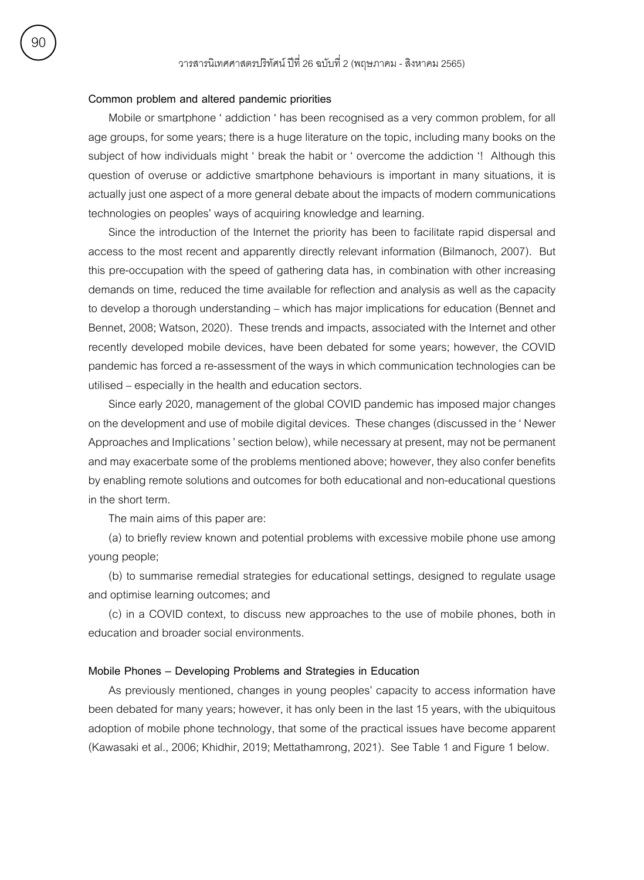# **Common problem and altered pandemic priorities**

Mobile or smartphone ' addiction ' has been recognised as a very common problem, for all age groups, for some years; there is a huge literature on the topic, including many books on the subject of how individuals might ' break the habit or ' overcome the addiction '! Although this question of overuse or addictive smartphone behaviours is important in many situations, it is actually just one aspect of a more general debate about the impacts of modern communications technologies on peoples' ways of acquiring knowledge and learning.

Since the introduction of the Internet the priority has been to facilitate rapid dispersal and access to the most recent and apparently directly relevant information (Bilmanoch, 2007). But this pre-occupation with the speed of gathering data has, in combination with other increasing demands on time, reduced the time available for reflection and analysis as well as the capacity to develop a thorough understanding – which has major implications for education (Bennet and Bennet, 2008; Watson, 2020). These trends and impacts, associated with the Internet and other recently developed mobile devices, have been debated for some years; however, the COVID pandemic has forced a re-assessment of the ways in which communication technologies can be utilised – especially in the health and education sectors.

Since early 2020, management of the global COVID pandemic has imposed major changes on the development and use of mobile digital devices. These changes (discussed in the ' Newer Approaches and Implications ' section below), while necessary at present, may not be permanent and may exacerbate some of the problems mentioned above; however, they also confer benefits by enabling remote solutions and outcomes for both educational and non-educational questions in the short term.

The main aims of this paper are:

(a) to briefly review known and potential problems with excessive mobile phone use among young people;

(b) to summarise remedial strategies for educational settings, designed to regulate usage and optimise learning outcomes; and

(c) in a COVID context, to discuss new approaches to the use of mobile phones, both in education and broader social environments.

#### **Mobile Phones – Developing Problems and Strategies in Education**

As previously mentioned, changes in young peoples' capacity to access information have been debated for many years; however, it has only been in the last 15 years, with the ubiquitous adoption of mobile phone technology, that some of the practical issues have become apparent (Kawasaki et al., 2006; Khidhir, 2019; Mettathamrong, 2021). See Table 1 and Figure 1 below.

90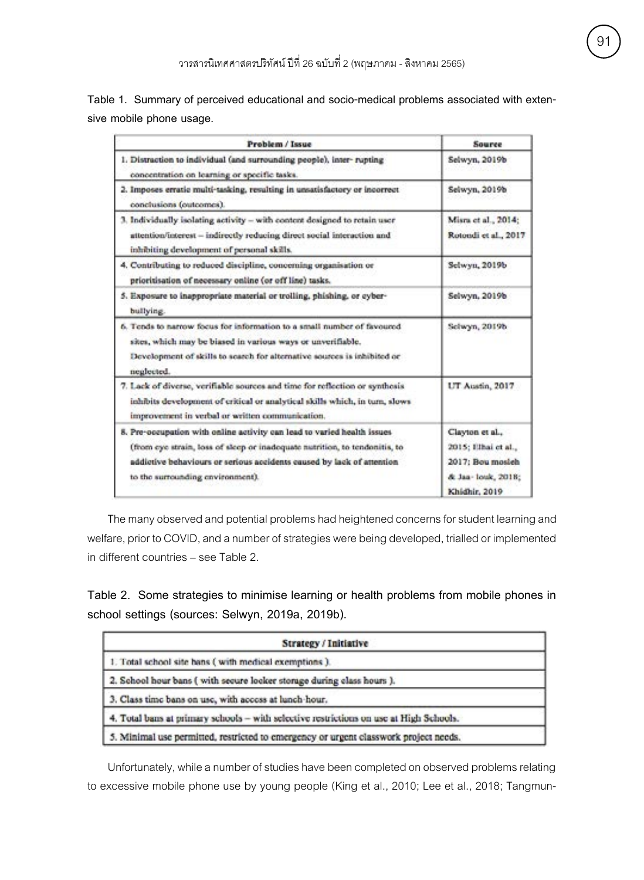**Table 1. Summary of perceived educational and socio-medical problems associated with extensive mobile phone usage.**

| Problem / Issue                                                                                                                                                                                                                                                    | <b>Source</b>                                                                                      |
|--------------------------------------------------------------------------------------------------------------------------------------------------------------------------------------------------------------------------------------------------------------------|----------------------------------------------------------------------------------------------------|
| 1. Distraction to individual (and surrounding people), inter-rupting<br>concentration on learning or specific tasks.                                                                                                                                               | Selwyn, 2019b                                                                                      |
| 2. Imposes erratic multi-tasking, resulting in unsatisfactory or incorrect<br>conclusions (outcomes).                                                                                                                                                              | Selwyn, 2019b                                                                                      |
| 3. Individually isolating activity - with content dosigned to retain user<br>attention/interest - indirectly reducing direct social interaction and<br>inhibiting development of personal skills.                                                                  | Misra et al., 2014;<br>Rotondi et al., 2017                                                        |
| 4. Contributing to reduced discipline, concerning organisation or<br>prioritisation of necessary online (or off line) tasks.                                                                                                                                       | Selwyn, 2019b                                                                                      |
| 5. Exposure to inappropriate material or trolling, phishing, or cyber-<br>bullying.                                                                                                                                                                                | Selwyn, 2019b                                                                                      |
| 6. Tends to narrow focus for information to a small number of favoured<br>sites, which may be biased in various ways or unverifiable.<br>Development of skills to search for alternative sources is inhibited or<br>neglected.                                     | Schwyn, 2019b.                                                                                     |
| 7. Lack of diverse, verifiable sources and time for reflection or synthesis<br>inhibits development of critical or analytical skills which, in turn, slows<br>improvement in verbal or written communication.                                                      | UT Austin, 2017                                                                                    |
| 8. Pre-occupation with online activity can lead to varied health issues<br>(from eye strain, loss of sleep or inadequate nutrition, to tendonitis, to<br>addictive behaviours or serious accidents caused by lack of attention<br>to the surrounding environment). | Clayton et al.,<br>2015; Illhai et al.,<br>2017; Bou mosieh<br>& Jan- louk, 2018;<br>Khidhir, 2019 |

The many observed and potential problems had heightened concerns for student learning and welfare, prior to COVID, and a number of strategies were being developed, trialled or implemented in different countries – see Table 2.

**Table 2. Some strategies to minimise learning or health problems from mobile phones in school settings (sources: Selwyn, 2019a, 2019b).**

| Strategy / Initiative                                                                  |  |
|----------------------------------------------------------------------------------------|--|
| 1. Total school site bans (with medical exemptions).                                   |  |
| 2. School hour bans (with secure locker storage during class hours).                   |  |
| 3. Class time bans on use, with access at lunch-hour.                                  |  |
| 4. Total bans at primary schools - with selective restrictions on use at High Schools. |  |
| 5. Minimal use permitted, restricted to emergency or urgent classwork project needs.   |  |

Unfortunately, while a number of studies have been completed on observed problems relating to excessive mobile phone use by young people (King et al., 2010; Lee et al., 2018; Tangmun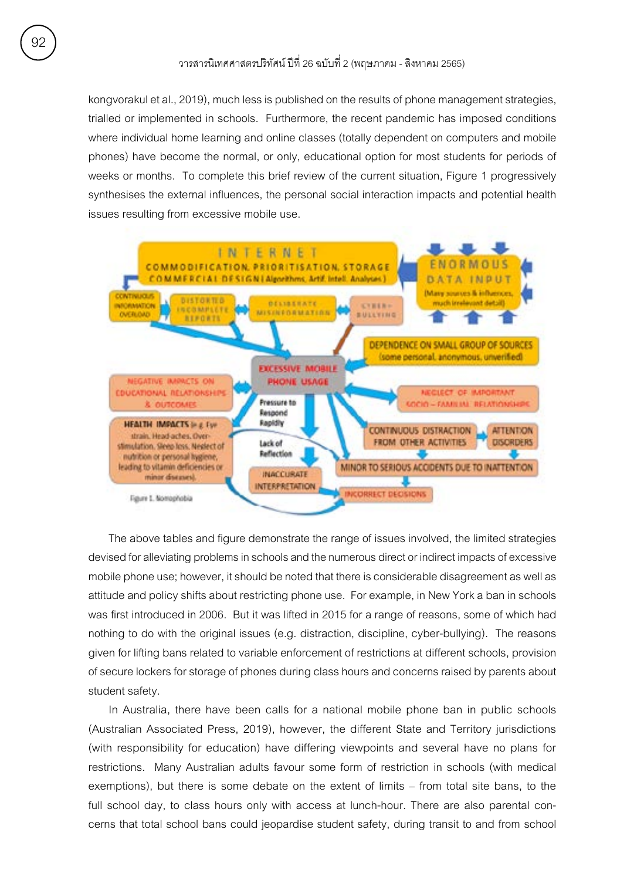kongvorakul et al., 2019), much less is published on the results of phone management strategies, trialled or implemented in schools. Furthermore, the recent pandemic has imposed conditions where individual home learning and online classes (totally dependent on computers and mobile phones) have become the normal, or only, educational option for most students for periods of weeks or months. To complete this brief review of the current situation, Figure 1 progressively synthesises the external influences, the personal social interaction impacts and potential health issues resulting from excessive mobile use.



The above tables and figure demonstrate the range of issues involved, the limited strategies devised for alleviating problems in schools and the numerous direct or indirect impacts of excessive mobile phone use; however, it should be noted that there is considerable disagreement as well as attitude and policy shifts about restricting phone use. For example, in New York a ban in schools was first introduced in 2006. But it was lifted in 2015 for a range of reasons, some of which had nothing to do with the original issues (e.g. distraction, discipline, cyber-bullying). The reasons given for lifting bans related to variable enforcement of restrictions at different schools, provision of secure lockers for storage of phones during class hours and concerns raised by parents about student safety.

In Australia, there have been calls for a national mobile phone ban in public schools (Australian Associated Press, 2019), however, the different State and Territory jurisdictions (with responsibility for education) have differing viewpoints and several have no plans for restrictions. Many Australian adults favour some form of restriction in schools (with medical exemptions), but there is some debate on the extent of limits – from total site bans, to the full school day, to class hours only with access at lunch-hour. There are also parental concerns that total school bans could jeopardise student safety, during transit to and from school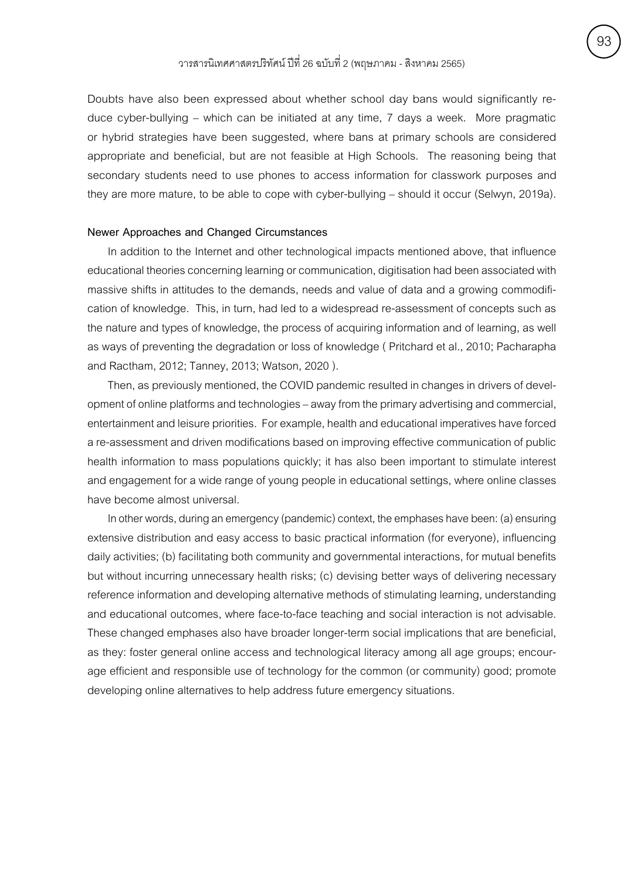Doubts have also been expressed about whether school day bans would significantly reduce cyber-bullying – which can be initiated at any time, 7 days a week. More pragmatic or hybrid strategies have been suggested, where bans at primary schools are considered appropriate and beneficial, but are not feasible at High Schools. The reasoning being that secondary students need to use phones to access information for classwork purposes and they are more mature, to be able to cope with cyber-bullying – should it occur (Selwyn, 2019a).

### **Newer Approaches and Changed Circumstances**

In addition to the Internet and other technological impacts mentioned above, that influence educational theories concerning learning or communication, digitisation had been associated with massive shifts in attitudes to the demands, needs and value of data and a growing commodification of knowledge. This, in turn, had led to a widespread re-assessment of concepts such as the nature and types of knowledge, the process of acquiring information and of learning, as well as ways of preventing the degradation or loss of knowledge ( Pritchard et al., 2010; Pacharapha and Ractham, 2012; Tanney, 2013; Watson, 2020 ).

Then, as previously mentioned, the COVID pandemic resulted in changes in drivers of development of online platforms and technologies – away from the primary advertising and commercial, entertainment and leisure priorities. For example, health and educational imperatives have forced a re-assessment and driven modifications based on improving effective communication of public health information to mass populations quickly; it has also been important to stimulate interest and engagement for a wide range of young people in educational settings, where online classes have become almost universal.

In other words, during an emergency (pandemic) context, the emphases have been: (a) ensuring extensive distribution and easy access to basic practical information (for everyone), influencing daily activities; (b) facilitating both community and governmental interactions, for mutual benefits but without incurring unnecessary health risks; (c) devising better ways of delivering necessary reference information and developing alternative methods of stimulating learning, understanding and educational outcomes, where face-to-face teaching and social interaction is not advisable. These changed emphases also have broader longer-term social implications that are beneficial, as they: foster general online access and technological literacy among all age groups; encourage efficient and responsible use of technology for the common (or community) good; promote developing online alternatives to help address future emergency situations.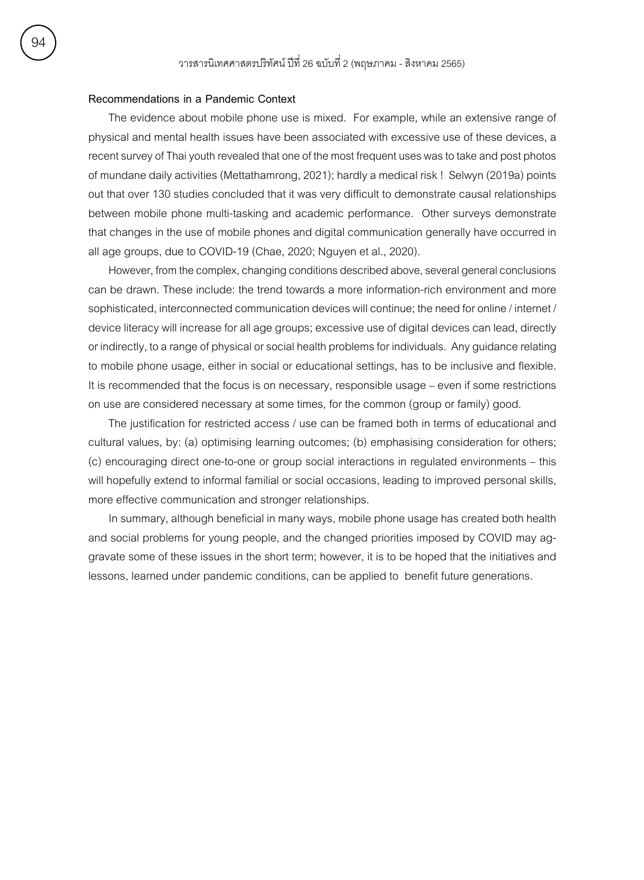## **Recommendations in a Pandemic Context**

The evidence about mobile phone use is mixed. For example, while an extensive range of physical and mental health issues have been associated with excessive use of these devices, a recent survey of Thai youth revealed that one of the most frequent uses was to take and post photos of mundane daily activities (Mettathamrong, 2021); hardly a medical risk ! Selwyn (2019a) points out that over 130 studies concluded that it was very difficult to demonstrate causal relationships between mobile phone multi-tasking and academic performance. Other surveys demonstrate that changes in the use of mobile phones and digital communication generally have occurred in all age groups, due to COVID-19 (Chae, 2020; Nguyen et al., 2020).

However, from the complex, changing conditions described above, several general conclusions can be drawn. These include: the trend towards a more information-rich environment and more sophisticated, interconnected communication devices will continue; the need for online / internet / device literacy will increase for all age groups; excessive use of digital devices can lead, directly or indirectly, to a range of physical or social health problems for individuals. Any guidance relating to mobile phone usage, either in social or educational settings, has to be inclusive and flexible. It is recommended that the focus is on necessary, responsible usage – even if some restrictions on use are considered necessary at some times, for the common (group or family) good.

The justification for restricted access / use can be framed both in terms of educational and cultural values, by: (a) optimising learning outcomes; (b) emphasising consideration for others; (c) encouraging direct one-to-one or group social interactions in regulated environments – this will hopefully extend to informal familial or social occasions, leading to improved personal skills, more effective communication and stronger relationships.

In summary, although beneficial in many ways, mobile phone usage has created both health and social problems for young people, and the changed priorities imposed by COVID may aggravate some of these issues in the short term; however, it is to be hoped that the initiatives and lessons, learned under pandemic conditions, can be applied to benefit future generations.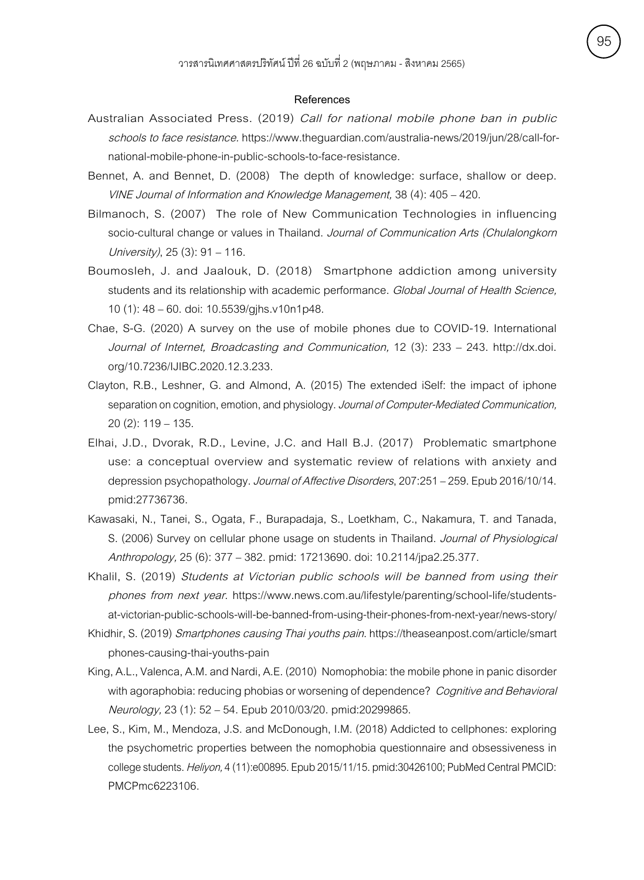#### **References**

- Australian Associated Press. (2019) Call for national mobile phone ban in public schools to face resistance. https://www.theguardian.com/australia-news/2019/jun/28/call-fornational-mobile-phone-in-public-schools-to-face-resistance.
- Bennet, A. and Bennet, D. (2008) The depth of knowledge: surface, shallow or deep. VINE Journal of Information and Knowledge Management, 38 (4): 405 – 420.
- Bilmanoch, S. (2007) The role of New Communication Technologies in influencing socio-cultural change or values in Thailand. Journal of Communication Arts (Chulalongkorn University), 25 (3): 91 – 116.
- Boumosleh, J. and Jaalouk, D. (2018) Smartphone addiction among university students and its relationship with academic performance. Global Journal of Health Science, 10 (1): 48 – 60. doi: 10.5539/gjhs.v10n1p48.
- Chae, S-G. (2020) A survey on the use of mobile phones due to COVID-19. International Journal of Internet, Broadcasting and Communication, 12 (3): 233 – 243. http://dx.doi. org/10.7236/IJIBC.2020.12.3.233.
- Clayton, R.B., Leshner, G. and Almond, A. (2015) The extended iSelf: the impact of iphone separation on cognition, emotion, and physiology. Journal of Computer-Mediated Communication, 20 (2): 119 – 135.
- Elhai, J.D., Dvorak, R.D., Levine, J.C. and Hall B.J. (2017) Problematic smartphone use: a conceptual overview and systematic review of relations with anxiety and depression psychopathology. Journal of Affective Disorders, 207:251 - 259. Epub 2016/10/14. pmid:27736736.
- Kawasaki, N., Tanei, S., Ogata, F., Burapadaja, S., Loetkham, C., Nakamura, T. and Tanada, S. (2006) Survey on cellular phone usage on students in Thailand. Journal of Physiological Anthropology, 25 (6): 377 – 382. pmid: 17213690. doi: 10.2114/jpa2.25.377.
- Khalil, S. (2019) Students at Victorian public schools will be banned from using their phones from next year. https://www.news.com.au/lifestyle/parenting/school-life/studentsat-victorian-public-schools-will-be-banned-from-using-their-phones-from-next-year/news-story/
- Khidhir, S. (2019) Smartphones causing Thai youths pain. https://theaseanpost.com/article/smart phones-causing-thai-youths-pain
- King, A.L., Valenca, A.M. and Nardi, A.E. (2010) Nomophobia: the mobile phone in panic disorder with agoraphobia: reducing phobias or worsening of dependence? Cognitive and Behavioral Neurology, 23 (1): 52 – 54. Epub 2010/03/20. pmid:20299865.
- Lee, S., Kim, M., Mendoza, J.S. and McDonough, I.M. (2018) Addicted to cellphones: exploring the psychometric properties between the nomophobia questionnaire and obsessiveness in college students. Heliyon, 4 (11):e00895. Epub 2015/11/15. pmid:30426100; PubMed Central PMCID: PMCPmc6223106.